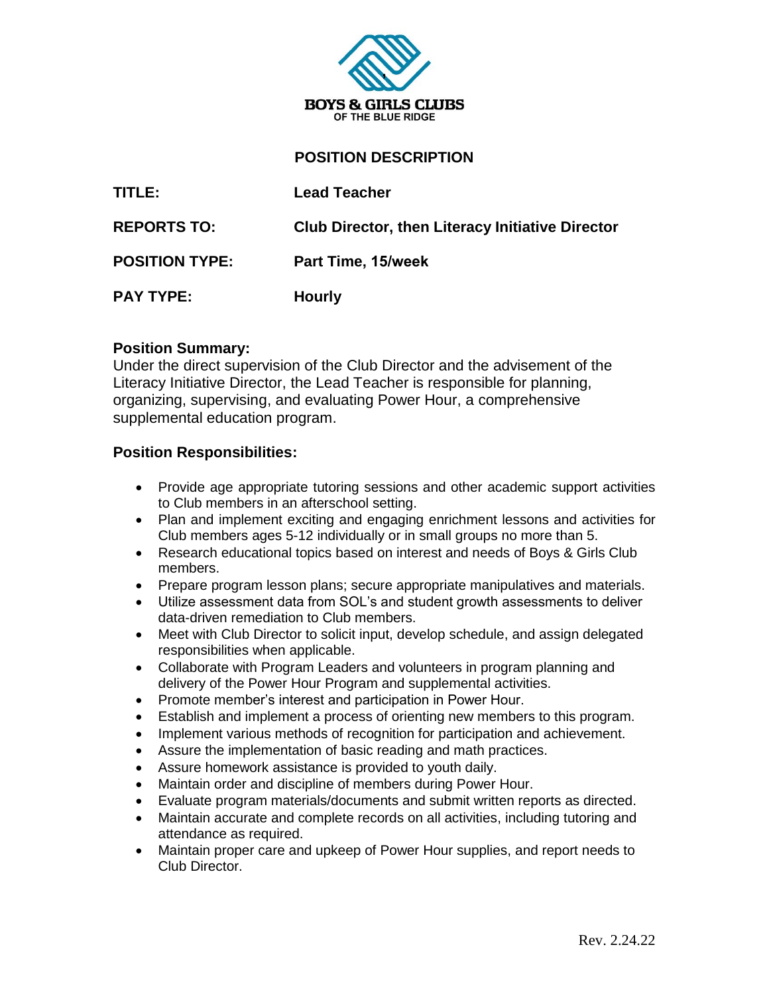

## **POSITION DESCRIPTION**

| TITLE:                | <b>Lead Teacher</b>                                     |
|-----------------------|---------------------------------------------------------|
| <b>REPORTS TO:</b>    | <b>Club Director, then Literacy Initiative Director</b> |
| <b>POSITION TYPE:</b> | Part Time, 15/week                                      |
| <b>PAY TYPE:</b>      | <b>Hourly</b>                                           |

#### **Position Summary:**

Under the direct supervision of the Club Director and the advisement of the Literacy Initiative Director, the Lead Teacher is responsible for planning, organizing, supervising, and evaluating Power Hour, a comprehensive supplemental education program.

#### **Position Responsibilities:**

- Provide age appropriate tutoring sessions and other academic support activities to Club members in an afterschool setting.
- Plan and implement exciting and engaging enrichment lessons and activities for Club members ages 5-12 individually or in small groups no more than 5.
- Research educational topics based on interest and needs of Boys & Girls Club members.
- Prepare program lesson plans; secure appropriate manipulatives and materials.
- Utilize assessment data from SOL's and student growth assessments to deliver data-driven remediation to Club members.
- Meet with Club Director to solicit input, develop schedule, and assign delegated responsibilities when applicable.
- Collaborate with Program Leaders and volunteers in program planning and delivery of the Power Hour Program and supplemental activities.
- Promote member's interest and participation in Power Hour.
- Establish and implement a process of orienting new members to this program.
- Implement various methods of recognition for participation and achievement.
- Assure the implementation of basic reading and math practices.
- Assure homework assistance is provided to youth daily.
- Maintain order and discipline of members during Power Hour.
- Evaluate program materials/documents and submit written reports as directed.
- Maintain accurate and complete records on all activities, including tutoring and attendance as required.
- Maintain proper care and upkeep of Power Hour supplies, and report needs to Club Director.